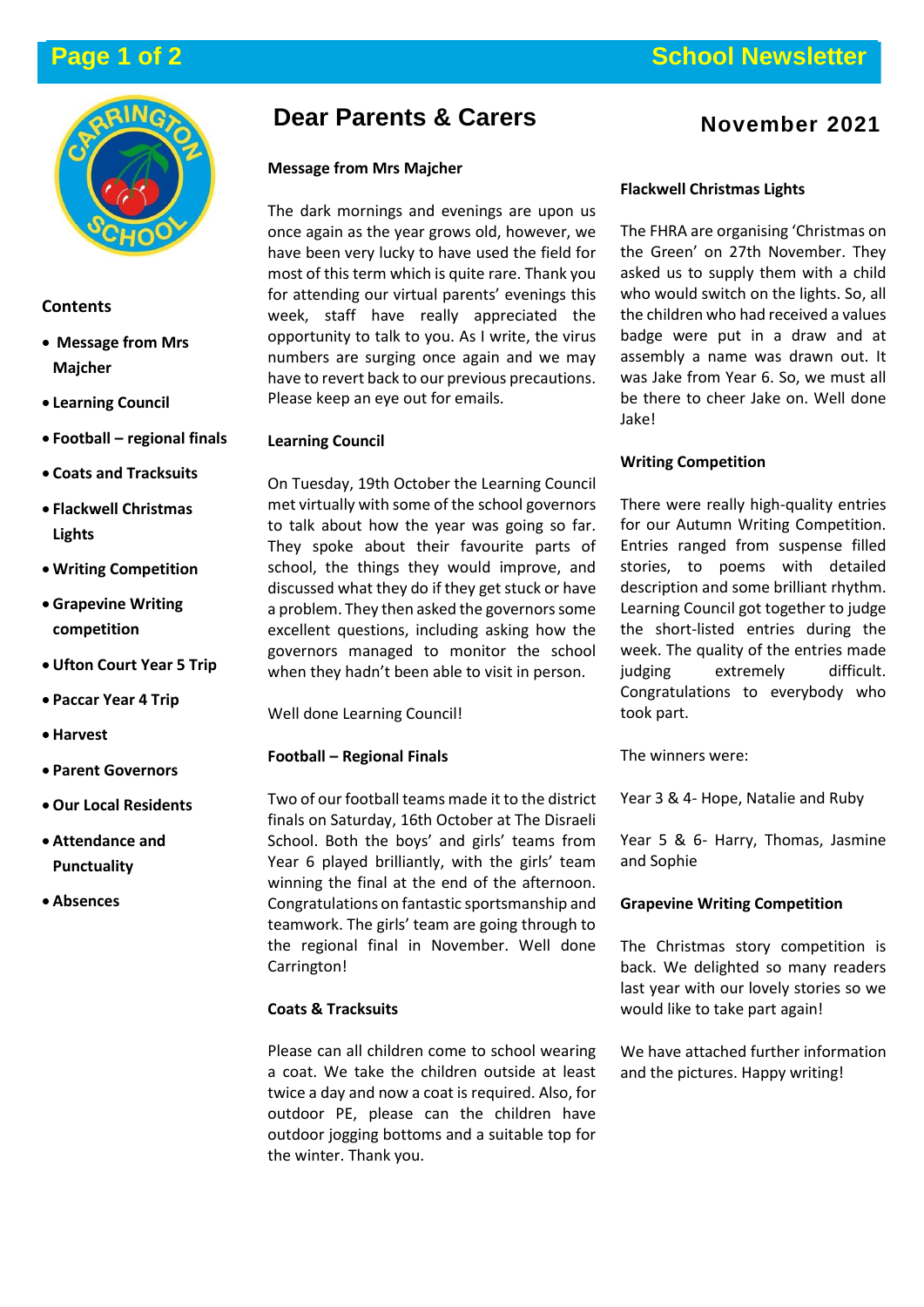

# **Contents**

- **Message from Mrs Majcher**
- **Learning Council**
- **Football – regional finals**
- **Coats and Tracksuits**
- **Flackwell Christmas Lights**
- **Writing Competition**
- **Grapevine Writing competition**
- **Ufton Court Year 5 Trip**
- **Paccar Year 4 Trip**
- **Harvest**
- **Parent Governors**
- **Our Local Residents**
- **Attendance and Punctuality**
- **Absences**

# **Dear Parents & Carers**

# **Message from Mrs Majcher**

The dark mornings and evenings are upon us once again as the year grows old, however, we have been very lucky to have used the field for most of this term which is quite rare. Thank you for attending our virtual parents' evenings this week, staff have really appreciated the opportunity to talk to you. As I write, the virus numbers are surging once again and we may have to revert back to our previous precautions. Please keep an eye out for emails.

# **Learning Council**

On Tuesday, 19th October the Learning Council met virtually with some of the school governors to talk about how the year was going so far. They spoke about their favourite parts of school, the things they would improve, and discussed what they do if they get stuck or have a problem. They then asked the governors some excellent questions, including asking how the governors managed to monitor the school when they hadn't been able to visit in person.

Well done Learning Council!

# **Football – Regional Finals**

Two of our football teams made it to the district finals on Saturday, 16th October at The Disraeli School. Both the boys' and girls' teams from Year 6 played brilliantly, with the girls' team winning the final at the end of the afternoon. Congratulations on fantastic sportsmanship and teamwork. The girls' team are going through to the regional final in November. Well done Carrington!

# **Coats & Tracksuits**

Please can all children come to school wearing a coat. We take the children outside at least twice a day and now a coat is required. Also, for outdoor PE, please can the children have outdoor jogging bottoms and a suitable top for the winter. Thank you.

# **November 2021**

# **Flackwell Christmas Lights**

The FHRA are organising 'Christmas on the Green' on 27th November. They asked us to supply them with a child who would switch on the lights. So, all the children who had received a values badge were put in a draw and at assembly a name was drawn out. It was Jake from Year 6. So, we must all be there to cheer Jake on. Well done Jake!

# **Writing Competition**

There were really high-quality entries for our Autumn Writing Competition. Entries ranged from suspense filled stories, to poems with detailed description and some brilliant rhythm. Learning Council got together to judge the short-listed entries during the week. The quality of the entries made judging extremely difficult. Congratulations to everybody who took part.

The winners were:

Year 3 & 4- Hope, Natalie and Ruby

Year 5 & 6- Harry, Thomas, Jasmine and Sophie

# **Grapevine Writing Competition**

The Christmas story competition is back. We delighted so many readers last year with our lovely stories so we would like to take part again!

We have attached further information and the pictures. Happy writing!